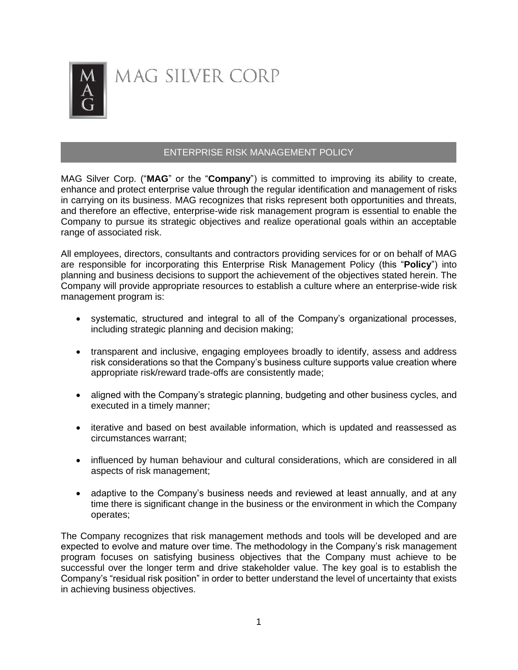

## MAG SILVER CORP

## ENTERPRISE RISK MANAGEMENT POLICY

MAG Silver Corp. ("**MAG**" or the "**Company**") is committed to improving its ability to create, enhance and protect enterprise value through the regular identification and management of risks in carrying on its business. MAG recognizes that risks represent both opportunities and threats, and therefore an effective, enterprise-wide risk management program is essential to enable the Company to pursue its strategic objectives and realize operational goals within an acceptable range of associated risk.

All employees, directors, consultants and contractors providing services for or on behalf of MAG are responsible for incorporating this Enterprise Risk Management Policy (this "**Policy**") into planning and business decisions to support the achievement of the objectives stated herein. The Company will provide appropriate resources to establish a culture where an enterprise-wide risk management program is:

- systematic, structured and integral to all of the Company's organizational processes, including strategic planning and decision making;
- transparent and inclusive, engaging employees broadly to identify, assess and address risk considerations so that the Company's business culture supports value creation where appropriate risk/reward trade-offs are consistently made;
- aligned with the Company's strategic planning, budgeting and other business cycles, and executed in a timely manner;
- iterative and based on best available information, which is updated and reassessed as circumstances warrant;
- influenced by human behaviour and cultural considerations, which are considered in all aspects of risk management;
- adaptive to the Company's business needs and reviewed at least annually, and at any time there is significant change in the business or the environment in which the Company operates;

The Company recognizes that risk management methods and tools will be developed and are expected to evolve and mature over time. The methodology in the Company's risk management program focuses on satisfying business objectives that the Company must achieve to be successful over the longer term and drive stakeholder value. The key goal is to establish the Company's "residual risk position" in order to better understand the level of uncertainty that exists in achieving business objectives.